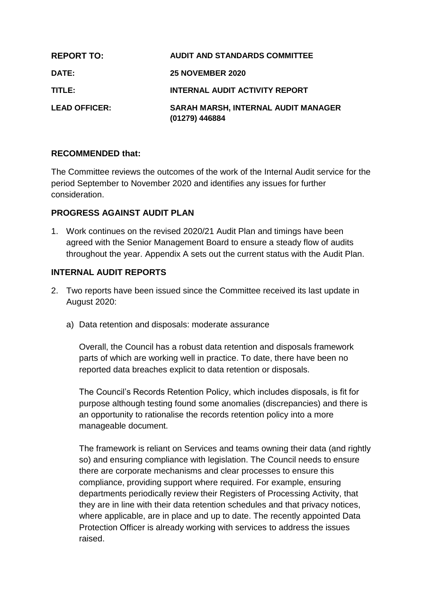| <b>REPORT TO:</b>    | <b>AUDIT AND STANDARDS COMMITTEE</b>                  |
|----------------------|-------------------------------------------------------|
| <b>DATE:</b>         | <b>25 NOVEMBER 2020</b>                               |
| TITLE:               | <b>INTERNAL AUDIT ACTIVITY REPORT</b>                 |
| <b>LEAD OFFICER:</b> | SARAH MARSH, INTERNAL AUDIT MANAGER<br>(01279) 446884 |

#### **RECOMMENDED that:**

The Committee reviews the outcomes of the work of the Internal Audit service for the period September to November 2020 and identifies any issues for further consideration.

#### **PROGRESS AGAINST AUDIT PLAN**

1. Work continues on the revised 2020/21 Audit Plan and timings have been agreed with the Senior Management Board to ensure a steady flow of audits throughout the year. Appendix A sets out the current status with the Audit Plan.

#### **INTERNAL AUDIT REPORTS**

- 2. Two reports have been issued since the Committee received its last update in August 2020:
	- a) Data retention and disposals: moderate assurance

Overall, the Council has a robust data retention and disposals framework parts of which are working well in practice. To date, there have been no reported data breaches explicit to data retention or disposals.

The Council's Records Retention Policy, which includes disposals, is fit for purpose although testing found some anomalies (discrepancies) and there is an opportunity to rationalise the records retention policy into a more manageable document.

The framework is reliant on Services and teams owning their data (and rightly so) and ensuring compliance with legislation. The Council needs to ensure there are corporate mechanisms and clear processes to ensure this compliance, providing support where required. For example, ensuring departments periodically review their Registers of Processing Activity, that they are in line with their data retention schedules and that privacy notices, where applicable, are in place and up to date. The recently appointed Data Protection Officer is already working with services to address the issues raised.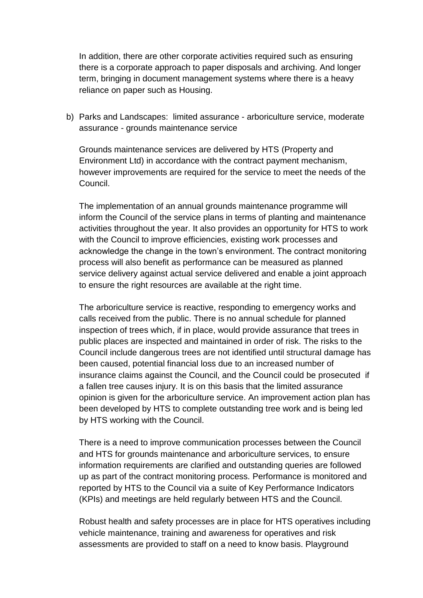In addition, there are other corporate activities required such as ensuring there is a corporate approach to paper disposals and archiving. And longer term, bringing in document management systems where there is a heavy reliance on paper such as Housing.

b) Parks and Landscapes: limited assurance - arboriculture service, moderate assurance - grounds maintenance service

Grounds maintenance services are delivered by HTS (Property and Environment Ltd) in accordance with the contract payment mechanism, however improvements are required for the service to meet the needs of the Council.

The implementation of an annual grounds maintenance programme will inform the Council of the service plans in terms of planting and maintenance activities throughout the year. It also provides an opportunity for HTS to work with the Council to improve efficiencies, existing work processes and acknowledge the change in the town's environment. The contract monitoring process will also benefit as performance can be measured as planned service delivery against actual service delivered and enable a joint approach to ensure the right resources are available at the right time.

The arboriculture service is reactive, responding to emergency works and calls received from the public. There is no annual schedule for planned inspection of trees which, if in place, would provide assurance that trees in public places are inspected and maintained in order of risk. The risks to the Council include dangerous trees are not identified until structural damage has been caused, potential financial loss due to an increased number of insurance claims against the Council, and the Council could be prosecuted if a fallen tree causes injury. It is on this basis that the limited assurance opinion is given for the arboriculture service. An improvement action plan has been developed by HTS to complete outstanding tree work and is being led by HTS working with the Council.

There is a need to improve communication processes between the Council and HTS for grounds maintenance and arboriculture services, to ensure information requirements are clarified and outstanding queries are followed up as part of the contract monitoring process. Performance is monitored and reported by HTS to the Council via a suite of Key Performance Indicators (KPIs) and meetings are held regularly between HTS and the Council.

Robust health and safety processes are in place for HTS operatives including vehicle maintenance, training and awareness for operatives and risk assessments are provided to staff on a need to know basis. Playground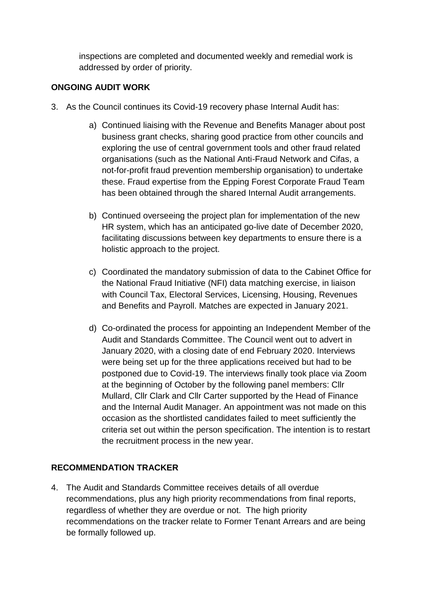inspections are completed and documented weekly and remedial work is addressed by order of priority.

# **ONGOING AUDIT WORK**

- 3. As the Council continues its Covid-19 recovery phase Internal Audit has:
	- a) Continued liaising with the Revenue and Benefits Manager about post business grant checks, sharing good practice from other councils and exploring the use of central government tools and other fraud related organisations (such as the National Anti-Fraud Network and Cifas, a not-for-profit fraud prevention membership organisation) to undertake these. Fraud expertise from the Epping Forest Corporate Fraud Team has been obtained through the shared Internal Audit arrangements.
	- b) Continued overseeing the project plan for implementation of the new HR system, which has an anticipated go-live date of December 2020, facilitating discussions between key departments to ensure there is a holistic approach to the project.
	- c) Coordinated the mandatory submission of data to the Cabinet Office for the National Fraud Initiative (NFI) data matching exercise, in liaison with Council Tax, Electoral Services, Licensing, Housing, Revenues and Benefits and Payroll. Matches are expected in January 2021.
	- d) Co-ordinated the process for appointing an Independent Member of the Audit and Standards Committee. The Council went out to advert in January 2020, with a closing date of end February 2020. Interviews were being set up for the three applications received but had to be postponed due to Covid-19. The interviews finally took place via Zoom at the beginning of October by the following panel members: Cllr Mullard, Cllr Clark and Cllr Carter supported by the Head of Finance and the Internal Audit Manager. An appointment was not made on this occasion as the shortlisted candidates failed to meet sufficiently the criteria set out within the person specification. The intention is to restart the recruitment process in the new year.

### **RECOMMENDATION TRACKER**

4. The Audit and Standards Committee receives details of all overdue recommendations, plus any high priority recommendations from final reports, regardless of whether they are overdue or not. The high priority recommendations on the tracker relate to Former Tenant Arrears and are being be formally followed up.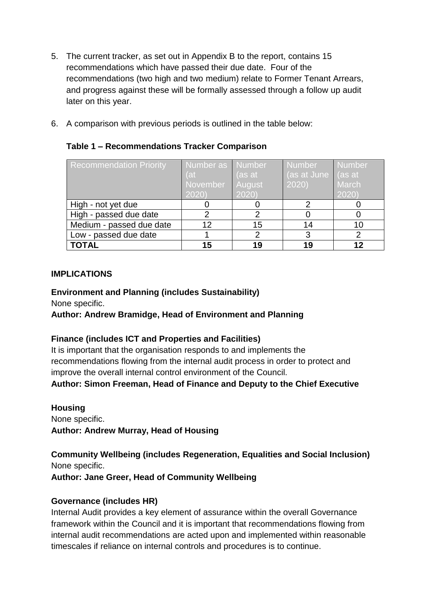- 5. The current tracker, as set out in Appendix B to the report, contains 15 recommendations which have passed their due date. Four of the recommendations (two high and two medium) relate to Former Tenant Arrears, and progress against these will be formally assessed through a follow up audit later on this year.
- 6. A comparison with previous periods is outlined in the table below:

# **Table 1 – Recommendations Tracker Comparison**

| <b>Recommendation Priority</b> | Number as   Number<br>(at)<br>November<br>2020 | (as at<br>August<br>2020 | <b>Number</b><br>(as at June $\vert$ (as at<br>2020) | <b>Number</b><br>March<br>2020 |
|--------------------------------|------------------------------------------------|--------------------------|------------------------------------------------------|--------------------------------|
| High - not yet due             |                                                |                          |                                                      |                                |
| High - passed due date         |                                                | າ                        |                                                      |                                |
| Medium - passed due date       | 12                                             | 15                       | 14                                                   | 10                             |
| Low - passed due date          |                                                | າ                        | 3                                                    | 2                              |
| <b>TOTAL</b>                   | 15                                             | 19                       | 19                                                   | 12                             |

### **IMPLICATIONS**

#### **Environment and Planning (includes Sustainability)**

None specific.

### **Author: Andrew Bramidge, Head of Environment and Planning**

### **Finance (includes ICT and Properties and Facilities)**

It is important that the organisation responds to and implements the recommendations flowing from the internal audit process in order to protect and improve the overall internal control environment of the Council.

**Author: Simon Freeman, Head of Finance and Deputy to the Chief Executive**

**Housing** None specific. **Author: Andrew Murray, Head of Housing**

**Community Wellbeing (includes Regeneration, Equalities and Social Inclusion)** None specific.

**Author: Jane Greer, Head of Community Wellbeing**

### **Governance (includes HR)**

Internal Audit provides a key element of assurance within the overall Governance framework within the Council and it is important that recommendations flowing from internal audit recommendations are acted upon and implemented within reasonable timescales if reliance on internal controls and procedures is to continue.